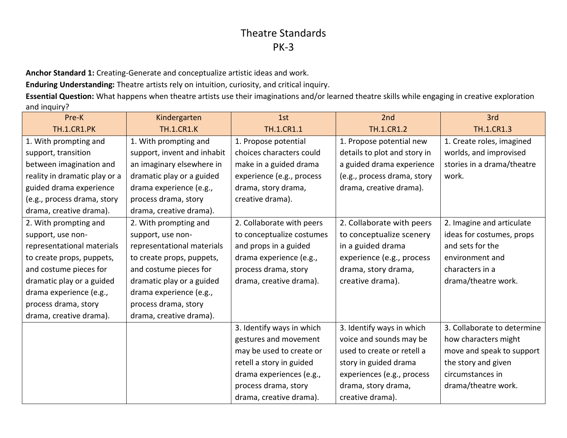**Anchor Standard 1:** Creating-Generate and conceptualize artistic ideas and work.

**Enduring Understanding:** Theatre artists rely on intuition, curiosity, and critical inquiry.

**Essential Question:** What happens when theatre artists use their imaginations and/or learned theatre skills while engaging in creative exploration and inquiry?

| Pre-K                         | Kindergarten                | 1st                       | 2nd                          | 3rd                         |
|-------------------------------|-----------------------------|---------------------------|------------------------------|-----------------------------|
| <b>TH.1.CR1.PK</b>            | <b>TH.1.CR1.K</b>           | TH.1.CR1.1                | <b>TH.1.CR1.2</b>            | <b>TH.1.CR1.3</b>           |
| 1. With prompting and         | 1. With prompting and       | 1. Propose potential      | 1. Propose potential new     | 1. Create roles, imagined   |
| support, transition           | support, invent and inhabit | choices characters could  | details to plot and story in | worlds, and improvised      |
| between imagination and       | an imaginary elsewhere in   | make in a guided drama    | a guided drama experience    | stories in a drama/theatre  |
| reality in dramatic play or a | dramatic play or a guided   | experience (e.g., process | (e.g., process drama, story  | work.                       |
| guided drama experience       | drama experience (e.g.,     | drama, story drama,       | drama, creative drama).      |                             |
| (e.g., process drama, story   | process drama, story        | creative drama).          |                              |                             |
| drama, creative drama).       | drama, creative drama).     |                           |                              |                             |
| 2. With prompting and         | 2. With prompting and       | 2. Collaborate with peers | 2. Collaborate with peers    | 2. Imagine and articulate   |
| support, use non-             | support, use non-           | to conceptualize costumes | to conceptualize scenery     | ideas for costumes, props   |
| representational materials    | representational materials  | and props in a guided     | in a guided drama            | and sets for the            |
| to create props, puppets,     | to create props, puppets,   | drama experience (e.g.,   | experience (e.g., process    | environment and             |
| and costume pieces for        | and costume pieces for      | process drama, story      | drama, story drama,          | characters in a             |
| dramatic play or a guided     | dramatic play or a guided   | drama, creative drama).   | creative drama).             | drama/theatre work.         |
| drama experience (e.g.,       | drama experience (e.g.,     |                           |                              |                             |
| process drama, story          | process drama, story        |                           |                              |                             |
| drama, creative drama).       | drama, creative drama).     |                           |                              |                             |
|                               |                             | 3. Identify ways in which | 3. Identify ways in which    | 3. Collaborate to determine |
|                               |                             | gestures and movement     | voice and sounds may be      | how characters might        |
|                               |                             | may be used to create or  | used to create or retell a   | move and speak to support   |
|                               |                             | retell a story in guided  | story in guided drama        | the story and given         |
|                               |                             | drama experiences (e.g.,  | experiences (e.g., process   | circumstances in            |
|                               |                             | process drama, story      | drama, story drama,          | drama/theatre work.         |
|                               |                             | drama, creative drama).   | creative drama).             |                             |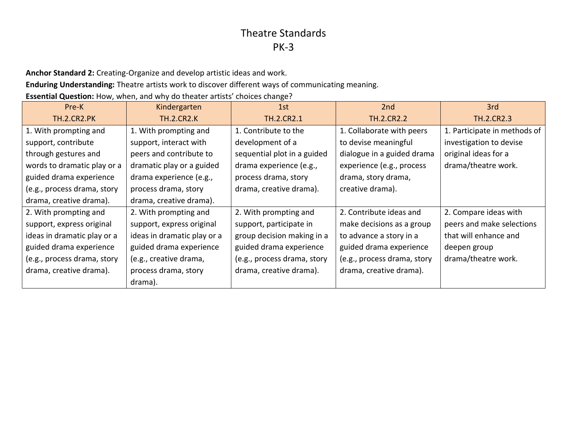**Anchor Standard 2:** Creating-Organize and develop artistic ideas and work.

**Enduring Understanding:** Theatre artists work to discover different ways of communicating meaning.

**Essential Question:** How, when, and why do theater artists' choices change?

| Pre-K                       | Kindergarten                | 1st                         | 2nd                         | 3rd                          |
|-----------------------------|-----------------------------|-----------------------------|-----------------------------|------------------------------|
| <b>TH.2.CR2.PK</b>          | <b>TH.2.CR2.K</b>           | <b>TH.2.CR2.1</b>           | <b>TH.2.CR2.2</b>           | <b>TH.2.CR2.3</b>            |
| 1. With prompting and       | 1. With prompting and       | 1. Contribute to the        | 1. Collaborate with peers   | 1. Participate in methods of |
| support, contribute         | support, interact with      | development of a            | to devise meaningful        | investigation to devise      |
| through gestures and        | peers and contribute to     | sequential plot in a guided | dialogue in a guided drama  | original ideas for a         |
| words to dramatic play or a | dramatic play or a guided   | drama experience (e.g.,     | experience (e.g., process   | drama/theatre work.          |
| guided drama experience     | drama experience (e.g.,     | process drama, story        | drama, story drama,         |                              |
| (e.g., process drama, story | process drama, story        | drama, creative drama).     | creative drama).            |                              |
| drama, creative drama).     | drama, creative drama).     |                             |                             |                              |
| 2. With prompting and       | 2. With prompting and       | 2. With prompting and       | 2. Contribute ideas and     | 2. Compare ideas with        |
| support, express original   | support, express original   | support, participate in     | make decisions as a group   | peers and make selections    |
| ideas in dramatic play or a | ideas in dramatic play or a | group decision making in a  | to advance a story in a     | that will enhance and        |
| guided drama experience     | guided drama experience     | guided drama experience     | guided drama experience     | deepen group                 |
| (e.g., process drama, story | (e.g., creative drama,      | (e.g., process drama, story | (e.g., process drama, story | drama/theatre work.          |
| drama, creative drama).     | process drama, story        | drama, creative drama).     | drama, creative drama).     |                              |
|                             | drama).                     |                             |                             |                              |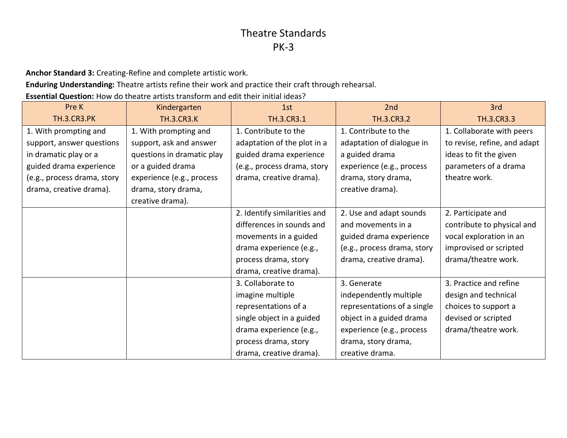**Anchor Standard 3:** Creating-Refine and complete artistic work.

**Enduring Understanding:** Theatre artists refine their work and practice their craft through rehearsal.

**Essential Question:** How do theatre artists transform and edit their initial ideas?

| Pre K                       | Kindergarten               | 1st                          | 2nd                         | 3rd                          |
|-----------------------------|----------------------------|------------------------------|-----------------------------|------------------------------|
| <b>TH.3.CR3.PK</b>          | <b>TH.3.CR3.K</b>          | TH.3.CR3.1                   | <b>TH.3.CR3.2</b>           | <b>TH.3.CR3.3</b>            |
| 1. With prompting and       | 1. With prompting and      | 1. Contribute to the         | 1. Contribute to the        | 1. Collaborate with peers    |
| support, answer questions   | support, ask and answer    | adaptation of the plot in a  | adaptation of dialogue in   | to revise, refine, and adapt |
| in dramatic play or a       | questions in dramatic play | guided drama experience      | a guided drama              | ideas to fit the given       |
| guided drama experience     | or a guided drama          | (e.g., process drama, story  | experience (e.g., process   | parameters of a drama        |
| (e.g., process drama, story | experience (e.g., process  | drama, creative drama).      | drama, story drama,         | theatre work.                |
| drama, creative drama).     | drama, story drama,        |                              | creative drama).            |                              |
|                             | creative drama).           |                              |                             |                              |
|                             |                            | 2. Identify similarities and | 2. Use and adapt sounds     | 2. Participate and           |
|                             |                            | differences in sounds and    | and movements in a          | contribute to physical and   |
|                             |                            | movements in a guided        | guided drama experience     | vocal exploration in an      |
|                             |                            | drama experience (e.g.,      | (e.g., process drama, story | improvised or scripted       |
|                             |                            | process drama, story         | drama, creative drama).     | drama/theatre work.          |
|                             |                            | drama, creative drama).      |                             |                              |
|                             |                            | 3. Collaborate to            | 3. Generate                 | 3. Practice and refine       |
|                             |                            | imagine multiple             | independently multiple      | design and technical         |
|                             |                            | representations of a         | representations of a single | choices to support a         |
|                             |                            | single object in a guided    | object in a guided drama    | devised or scripted          |
|                             |                            | drama experience (e.g.,      | experience (e.g., process   | drama/theatre work.          |
|                             |                            | process drama, story         | drama, story drama,         |                              |
|                             |                            | drama, creative drama).      | creative drama.             |                              |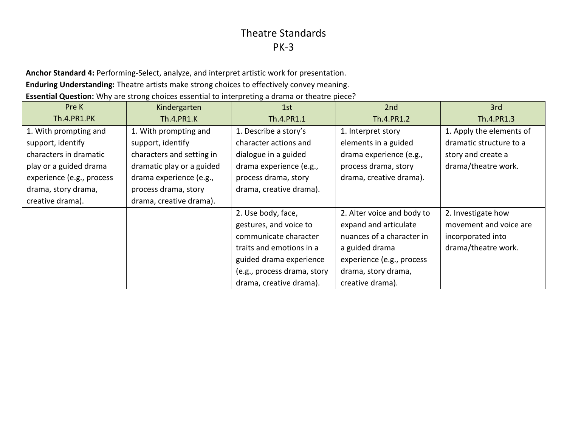**Anchor Standard 4:** Performing-Select, analyze, and interpret artistic work for presentation. **Enduring Understanding:** Theatre artists make strong choices to effectively convey meaning. **Essential Question:** Why are strong choices essential to interpreting a drama or theatre piece?

| Pre K                     | Kindergarten              | 1st                         | 2nd                        | 3rd                      |
|---------------------------|---------------------------|-----------------------------|----------------------------|--------------------------|
| <b>Th.4.PR1.PK</b>        | <b>Th.4.PR1.K</b>         | Th.4.PR1.1                  | Th.4.PR1.2                 | Th.4.PR1.3               |
| 1. With prompting and     | 1. With prompting and     | 1. Describe a story's       | 1. Interpret story         | 1. Apply the elements of |
| support, identify         | support, identify         | character actions and       | elements in a guided       | dramatic structure to a  |
| characters in dramatic    | characters and setting in | dialogue in a guided        | drama experience (e.g.,    | story and create a       |
| play or a guided drama    | dramatic play or a guided | drama experience (e.g.,     | process drama, story       | drama/theatre work.      |
| experience (e.g., process | drama experience (e.g.,   | process drama, story        | drama, creative drama).    |                          |
| drama, story drama,       | process drama, story      | drama, creative drama).     |                            |                          |
| creative drama).          | drama, creative drama).   |                             |                            |                          |
|                           |                           | 2. Use body, face,          | 2. Alter voice and body to | 2. Investigate how       |
|                           |                           | gestures, and voice to      | expand and articulate      | movement and voice are   |
|                           |                           | communicate character       | nuances of a character in  | incorporated into        |
|                           |                           | traits and emotions in a    | a guided drama             | drama/theatre work.      |
|                           |                           | guided drama experience     | experience (e.g., process  |                          |
|                           |                           | (e.g., process drama, story | drama, story drama,        |                          |
|                           |                           | drama, creative drama).     | creative drama).           |                          |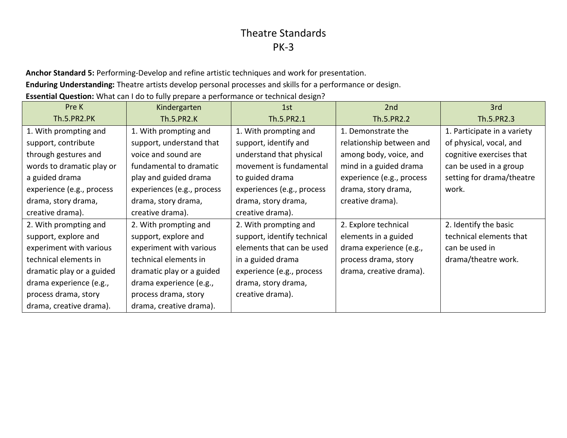**Anchor Standard 5:** Performing-Develop and refine artistic techniques and work for presentation.

**Enduring Understanding:** Theatre artists develop personal processes and skills for a performance or design.

**Essential Question:** What can I do to fully prepare a performance or technical design?

| Pre K                     | Kindergarten               | 1st                         | 2 <sub>nd</sub>           | 3rd                         |
|---------------------------|----------------------------|-----------------------------|---------------------------|-----------------------------|
| <b>Th.5.PR2.PK</b>        | Th.5.PR2.K                 | Th.5.PR2.1                  | Th.5.PR2.2                | Th.5.PR2.3                  |
| 1. With prompting and     | 1. With prompting and      | 1. With prompting and       | 1. Demonstrate the        | 1. Participate in a variety |
| support, contribute       | support, understand that   | support, identify and       | relationship between and  | of physical, vocal, and     |
| through gestures and      | voice and sound are        | understand that physical    | among body, voice, and    | cognitive exercises that    |
| words to dramatic play or | fundamental to dramatic    | movement is fundamental     | mind in a guided drama    | can be used in a group      |
| a guided drama            | play and guided drama      | to guided drama             | experience (e.g., process | setting for drama/theatre   |
| experience (e.g., process | experiences (e.g., process | experiences (e.g., process  | drama, story drama,       | work.                       |
| drama, story drama,       | drama, story drama,        | drama, story drama,         | creative drama).          |                             |
| creative drama).          | creative drama).           | creative drama).            |                           |                             |
| 2. With prompting and     | 2. With prompting and      | 2. With prompting and       | 2. Explore technical      | 2. Identify the basic       |
| support, explore and      | support, explore and       | support, identify technical | elements in a guided      | technical elements that     |
| experiment with various   | experiment with various    | elements that can be used   | drama experience (e.g.,   | can be used in              |
| technical elements in     | technical elements in      | in a guided drama           | process drama, story      | drama/theatre work.         |
| dramatic play or a guided | dramatic play or a guided  | experience (e.g., process   | drama, creative drama).   |                             |
| drama experience (e.g.,   | drama experience (e.g.,    | drama, story drama,         |                           |                             |
| process drama, story      | process drama, story       | creative drama).            |                           |                             |
| drama, creative drama).   | drama, creative drama).    |                             |                           |                             |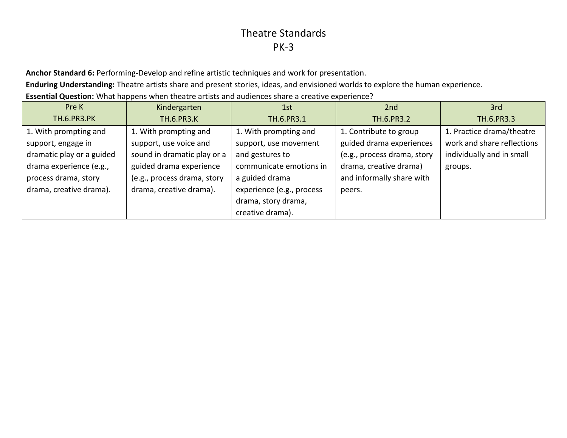**Anchor Standard 6:** Performing-Develop and refine artistic techniques and work for presentation.

**Enduring Understanding:** Theatre artists share and present stories, ideas, and envisioned worlds to explore the human experience.

**Essential Question:** What happens when theatre artists and audiences share a creative experience?

| Pre K                     | Kindergarten                | 1st                       | 2 <sub>nd</sub>             | 3rd                        |
|---------------------------|-----------------------------|---------------------------|-----------------------------|----------------------------|
| <b>TH.6.PR3.PK</b>        | <b>TH.6.PR3.K</b>           | TH.6.PR3.1                | TH.6.PR3.2                  | TH.6.PR3.3                 |
| 1. With prompting and     | 1. With prompting and       | 1. With prompting and     | 1. Contribute to group      | 1. Practice drama/theatre  |
| support, engage in        | support, use voice and      | support, use movement     | guided drama experiences    | work and share reflections |
| dramatic play or a guided | sound in dramatic play or a | and gestures to           | (e.g., process drama, story | individually and in small  |
| drama experience (e.g.,   | guided drama experience     | communicate emotions in   | drama, creative drama)      | groups.                    |
| process drama, story      | (e.g., process drama, story | a guided drama            | and informally share with   |                            |
| drama, creative drama).   | drama, creative drama).     | experience (e.g., process | peers.                      |                            |
|                           |                             | drama, story drama,       |                             |                            |
|                           |                             | creative drama).          |                             |                            |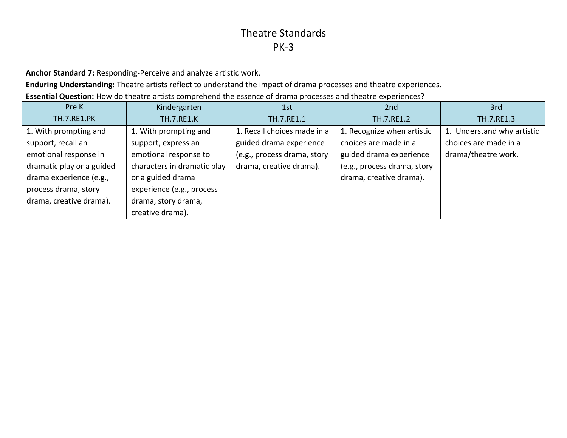**Anchor Standard 7:** Responding-Perceive and analyze artistic work.

**Enduring Understanding:** Theatre artists reflect to understand the impact of drama processes and theatre experiences.

**Essential Question:** How do theatre artists comprehend the essence of drama processes and theatre experiences?

| Pre K                     | Kindergarten                | 1st                         | 2nd                         | 3rd                        |
|---------------------------|-----------------------------|-----------------------------|-----------------------------|----------------------------|
| <b>TH.7.RE1.PK</b>        | <b>TH.7.RE1.K</b>           | TH.7.RE1.1                  | TH.7.RE1.2                  | TH.7.RE1.3                 |
| 1. With prompting and     | 1. With prompting and       | 1. Recall choices made in a | 1. Recognize when artistic  | 1. Understand why artistic |
| support, recall an        | support, express an         | guided drama experience     | choices are made in a       | choices are made in a      |
| emotional response in     | emotional response to       | (e.g., process drama, story | guided drama experience     | drama/theatre work.        |
| dramatic play or a guided | characters in dramatic play | drama, creative drama).     | (e.g., process drama, story |                            |
| drama experience (e.g.,   | or a guided drama           |                             | drama, creative drama).     |                            |
| process drama, story      | experience (e.g., process   |                             |                             |                            |
| drama, creative drama).   | drama, story drama,         |                             |                             |                            |
|                           | creative drama).            |                             |                             |                            |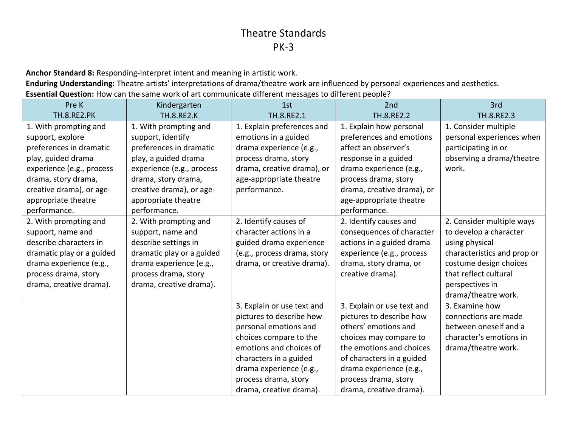**Anchor Standard 8:** Responding-Interpret intent and meaning in artistic work.

**Enduring Understanding:** Theatre artists' interpretations of drama/theatre work are influenced by personal experiences and aesthetics. **Essential Question:** How can the same work of art communicate different messages to different people?

| Pre K                     | Kindergarten              | 1st                         | 2nd                        | 3rd                         |
|---------------------------|---------------------------|-----------------------------|----------------------------|-----------------------------|
| <b>TH.8.RE2.PK</b>        | <b>TH.8.RE2.K</b>         | TH.8.RE2.1                  | TH.8.RE2.2                 | TH.8.RE2.3                  |
| 1. With prompting and     | 1. With prompting and     | 1. Explain preferences and  | 1. Explain how personal    | 1. Consider multiple        |
| support, explore          | support, identify         | emotions in a guided        | preferences and emotions   | personal experiences when   |
| preferences in dramatic   | preferences in dramatic   | drama experience (e.g.,     | affect an observer's       | participating in or         |
| play, guided drama        | play, a guided drama      | process drama, story        | response in a guided       | observing a drama/theatre   |
| experience (e.g., process | experience (e.g., process | drama, creative drama), or  | drama experience (e.g.,    | work.                       |
| drama, story drama,       | drama, story drama,       | age-appropriate theatre     | process drama, story       |                             |
| creative drama), or age-  | creative drama), or age-  | performance.                | drama, creative drama), or |                             |
| appropriate theatre       | appropriate theatre       |                             | age-appropriate theatre    |                             |
| performance.              | performance.              |                             | performance.               |                             |
| 2. With prompting and     | 2. With prompting and     | 2. Identify causes of       | 2. Identify causes and     | 2. Consider multiple ways   |
| support, name and         | support, name and         | character actions in a      | consequences of character  | to develop a character      |
| describe characters in    | describe settings in      | guided drama experience     | actions in a guided drama  | using physical              |
| dramatic play or a guided | dramatic play or a guided | (e.g., process drama, story | experience (e.g., process  | characteristics and prop or |
| drama experience (e.g.,   | drama experience (e.g.,   | drama, or creative drama).  | drama, story drama, or     | costume design choices      |
| process drama, story      | process drama, story      |                             | creative drama).           | that reflect cultural       |
| drama, creative drama).   | drama, creative drama).   |                             |                            | perspectives in             |
|                           |                           |                             |                            | drama/theatre work.         |
|                           |                           | 3. Explain or use text and  | 3. Explain or use text and | 3. Examine how              |
|                           |                           | pictures to describe how    | pictures to describe how   | connections are made        |
|                           |                           | personal emotions and       | others' emotions and       | between oneself and a       |
|                           |                           | choices compare to the      | choices may compare to     | character's emotions in     |
|                           |                           | emotions and choices of     | the emotions and choices   | drama/theatre work.         |
|                           |                           | characters in a guided      | of characters in a guided  |                             |
|                           |                           | drama experience (e.g.,     | drama experience (e.g.,    |                             |
|                           |                           | process drama, story        | process drama, story       |                             |
|                           |                           | drama, creative drama).     | drama, creative drama).    |                             |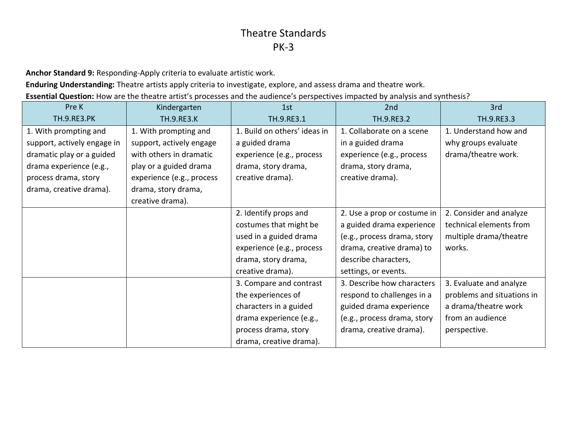**Anchor Standard 9:** Responding-Apply criteria to evaluate artistic work.

**Enduring Understanding:** Theatre artists apply criteria to investigate, explore, and assess drama and theatre work.

**Essential Question:** How are the theatre artist's processes and the audience's perspectives impacted by analysis and synthesis?

| Pre K                       | Kindergarten              | 1st                          | 2nd                         | 3rd                        |
|-----------------------------|---------------------------|------------------------------|-----------------------------|----------------------------|
| <b>TH.9.RE3.PK</b>          | <b>TH.9.RE3.K</b>         | TH.9.RE3.1                   | TH.9.RE3.2                  | TH.9.RE3.3                 |
| 1. With prompting and       | 1. With prompting and     | 1. Build on others' ideas in | 1. Collaborate on a scene   | 1. Understand how and      |
| support, actively engage in | support, actively engage  | a guided drama               | in a guided drama           | why groups evaluate        |
| dramatic play or a guided   | with others in dramatic   | experience (e.g., process    | experience (e.g., process   | drama/theatre work.        |
| drama experience (e.g.,     | play or a guided drama    | drama, story drama,          | drama, story drama,         |                            |
| process drama, story        | experience (e.g., process | creative drama).             | creative drama).            |                            |
| drama, creative drama).     | drama, story drama,       |                              |                             |                            |
|                             | creative drama).          |                              |                             |                            |
|                             |                           | 2. Identify props and        | 2. Use a prop or costume in | 2. Consider and analyze    |
|                             |                           | costumes that might be       | a guided drama experience   | technical elements from    |
|                             |                           | used in a guided drama       | (e.g., process drama, story | multiple drama/theatre     |
|                             |                           | experience (e.g., process    | drama, creative drama) to   | works.                     |
|                             |                           | drama, story drama,          | describe characters,        |                            |
|                             |                           | creative drama).             | settings, or events.        |                            |
|                             |                           | 3. Compare and contrast      | 3. Describe how characters  | 3. Evaluate and analyze    |
|                             |                           | the experiences of           | respond to challenges in a  | problems and situations in |
|                             |                           | characters in a guided       | guided drama experience     | a drama/theatre work       |
|                             |                           | drama experience (e.g.,      | (e.g., process drama, story | from an audience           |
|                             |                           | process drama, story         | drama, creative drama).     | perspective.               |
|                             |                           | drama, creative drama).      |                             |                            |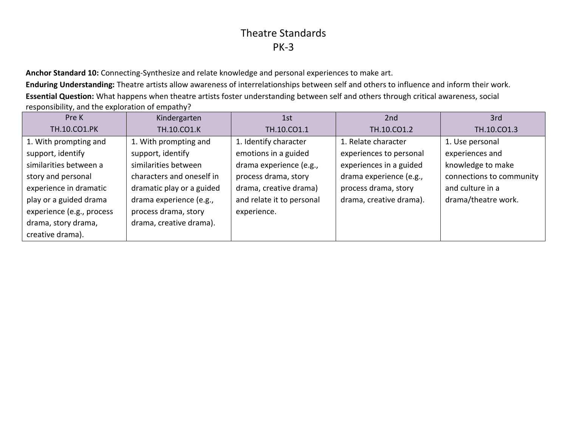**Anchor Standard 10:** Connecting-Synthesize and relate knowledge and personal experiences to make art.

**Enduring Understanding:** Theatre artists allow awareness of interrelationships between self and others to influence and inform their work. **Essential Question:** What happens when theatre artists foster understanding between self and others through critical awareness, social responsibility, and the exploration of empathy?

| Pre K                     | Kindergarten              | 1st                       | 2 <sub>nd</sub>         | 3rd                      |
|---------------------------|---------------------------|---------------------------|-------------------------|--------------------------|
| TH.10.CO1.PK              | TH.10.CO1.K               | TH.10.CO1.1               | TH.10.CO1.2             | TH.10.CO1.3              |
| 1. With prompting and     | 1. With prompting and     | 1. Identify character     | 1. Relate character     | 1. Use personal          |
| support, identify         | support, identify         | emotions in a guided      | experiences to personal | experiences and          |
| similarities between a    | similarities between      | drama experience (e.g.,   | experiences in a guided | knowledge to make        |
| story and personal        | characters and oneself in | process drama, story      | drama experience (e.g., | connections to community |
| experience in dramatic    | dramatic play or a guided | drama, creative drama)    | process drama, story    | and culture in a         |
| play or a guided drama    | drama experience (e.g.,   | and relate it to personal | drama, creative drama). | drama/theatre work.      |
| experience (e.g., process | process drama, story      | experience.               |                         |                          |
| drama, story drama,       | drama, creative drama).   |                           |                         |                          |
| creative drama).          |                           |                           |                         |                          |